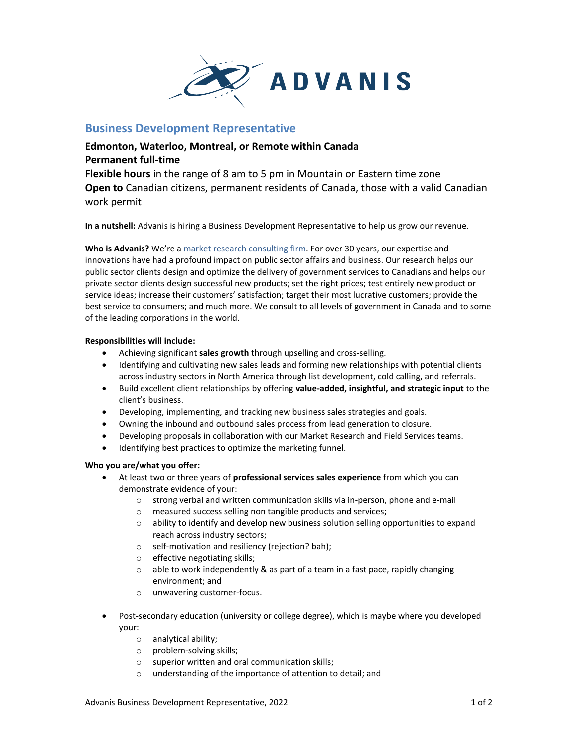

## **Business Development Representative**

## **Edmonton, Waterloo, Montreal, or Remote within Canada Permanent full-time**

**Flexible hours** in the range of 8 am to 5 pm in Mountain or Eastern time zone **Open to** Canadian citizens, permanent residents of Canada, those with a valid Canadian work permit

**In a nutshell:** Advanis is hiring a Business Development Representative to help us grow our revenue.

**Who is Advanis?** We're a market research consulting firm. For over 30 years, our expertise and innovations have had a profound impact on public sector affairs and business. Our research helps our public sector clients design and optimize the delivery of government services to Canadians and helps our private sector clients design successful new products; set the right prices; test entirely new product or service ideas; increase their customers' satisfaction; target their most lucrative customers; provide the best service to consumers; and much more. We consult to all levels of government in Canada and to some of the leading corporations in the world.

## **Responsibilities will include:**

- Achieving significant **sales growth** through upselling and cross-selling.
- Identifying and cultivating new sales leads and forming new relationships with potential clients across industry sectors in North America through list development, cold calling, and referrals.
- Build excellent client relationships by offering **value-added, insightful, and strategic input** to the client's business.
- Developing, implementing, and tracking new business sales strategies and goals.
- Owning the inbound and outbound sales process from lead generation to closure.
- Developing proposals in collaboration with our Market Research and Field Services teams.
- Identifying best practices to optimize the marketing funnel.

## **Who you are/what you offer:**

- At least two or three years of **professional services sales experience** from which you can demonstrate evidence of your:
	- $\circ$  strong verbal and written communication skills via in-person, phone and e-mail
	- o measured success selling non tangible products and services;
	- $\circ$  ability to identify and develop new business solution selling opportunities to expand reach across industry sectors;
	- o self-motivation and resiliency (rejection? bah);
	- o effective negotiating skills;
	- o able to work independently & as part of a team in a fast pace, rapidly changing environment; and
	- o unwavering customer-focus.
- Post-secondary education (university or college degree), which is maybe where you developed your:
	- o analytical ability;
	- o problem-solving skills;
	- o superior written and oral communication skills;
	- o understanding of the importance of attention to detail; and